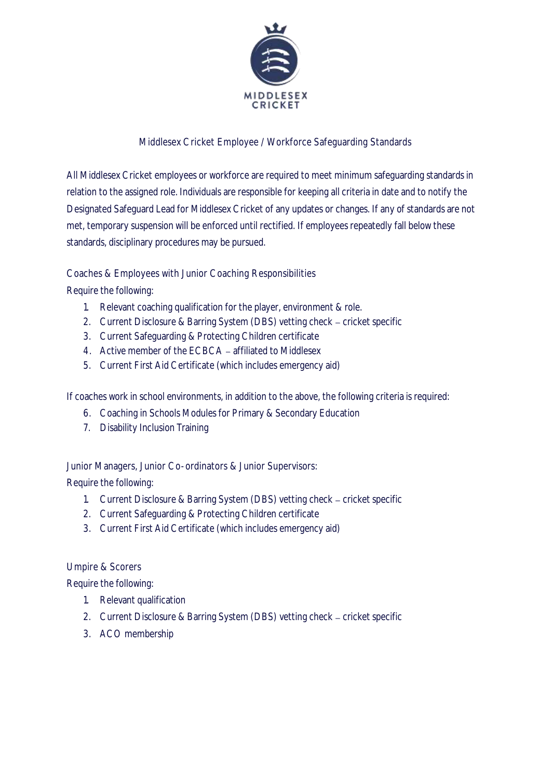

## Middlesex Cricket Employee / Workforce Safeguarding Standards

All Middlesex Cricket employees or workforce are required to meet minimum safeguarding standards in relation to the assigned role. Individuals are responsible for keeping all criteria in date and to notify the Designated Safeguard Lead for Middlesex Cricket of any updates or changes. If any of standards are not met, temporary suspension will be enforced until rectified. If employees repeatedly fall below these standards, disciplinary procedures may be pursued.

Coaches & Employees with Junior Coaching Responsibilities

Require the following:

- 1. Relevant coaching qualification for the player, environment & role.
- 2. Current Disclosure & Barring System (DBS) vetting check cricket specific
- 3. Current Safeguarding & Protecting Children certificate
- 4. Active member of the ECBCA affiliated to Middlesex
- 5. Current First Aid Certificate (which includes emergency aid)

If coaches work in school environments, in addition to the above, the following criteria is required:

- 6. Coaching in Schools Modules for Primary & Secondary Education
- 7. Disability Inclusion Training

Junior Managers, Junior Co-ordinators & Junior Supervisors:

Require the following:

- 1. Current Disclosure & Barring System (DBS) vetting check cricket specific
- 2. Current Safeguarding & Protecting Children certificate
- 3. Current First Aid Certificate (which includes emergency aid)

Umpire & Scorers

Require the following:

- 1. Relevant qualification
- 2. Current Disclosure & Barring System (DBS) vetting check cricket specific
- 3. ACO membership